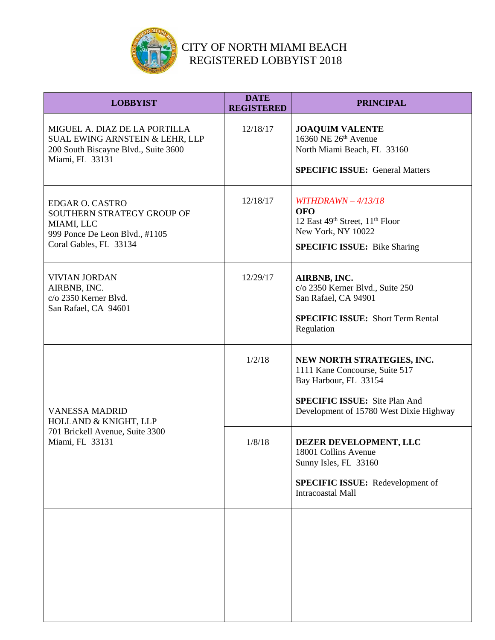

| <b>LOBBYIST</b>                                                                                                                        | <b>DATE</b><br><b>REGISTERED</b> | <b>PRINCIPAL</b>                                                                                                                                                         |
|----------------------------------------------------------------------------------------------------------------------------------------|----------------------------------|--------------------------------------------------------------------------------------------------------------------------------------------------------------------------|
| MIGUEL A. DIAZ DE LA PORTILLA<br><b>SUAL EWING ARNSTEIN &amp; LEHR, LLP</b><br>200 South Biscayne Blvd., Suite 3600<br>Miami, FL 33131 | 12/18/17                         | <b>JOAQUIM VALENTE</b><br>16360 NE $26th$ Avenue<br>North Miami Beach, FL 33160<br><b>SPECIFIC ISSUE: General Matters</b>                                                |
| <b>EDGAR O. CASTRO</b><br>SOUTHERN STRATEGY GROUP OF<br>MIAMI, LLC<br>999 Ponce De Leon Blvd., #1105<br>Coral Gables, FL 33134         | 12/18/17                         | WITHDRAWN $-4/13/18$<br><b>OFO</b><br>12 East 49th Street, 11 <sup>th</sup> Floor<br>New York, NY 10022<br><b>SPECIFIC ISSUE:</b> Bike Sharing                           |
| <b>VIVIAN JORDAN</b><br>AIRBNB, INC.<br>c/o 2350 Kerner Blvd.<br>San Rafael, CA 94601                                                  | 12/29/17                         | AIRBNB, INC.<br>c/o 2350 Kerner Blvd., Suite 250<br>San Rafael, CA 94901<br><b>SPECIFIC ISSUE:</b> Short Term Rental<br>Regulation                                       |
| <b>VANESSA MADRID</b><br>HOLLAND & KNIGHT, LLP<br>701 Brickell Avenue, Suite 3300<br>Miami, FL 33131                                   | 1/2/18                           | NEW NORTH STRATEGIES, INC.<br>1111 Kane Concourse, Suite 517<br>Bay Harbour, FL 33154<br><b>SPECIFIC ISSUE:</b> Site Plan And<br>Development of 15780 West Dixie Highway |
|                                                                                                                                        | 1/8/18                           | DEZER DEVELOPMENT, LLC<br>18001 Collins Avenue<br>Sunny Isles, FL 33160<br>SPECIFIC ISSUE: Redevelopment of<br>Intracoastal Mall                                         |
|                                                                                                                                        |                                  |                                                                                                                                                                          |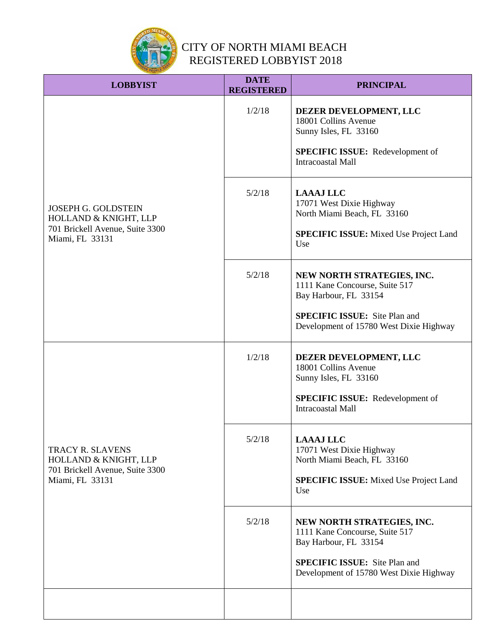

| <b>LOBBYIST</b>                                                                                           | <b>DATE</b><br><b>REGISTERED</b> | <b>PRINCIPAL</b>                                                                                                                               |
|-----------------------------------------------------------------------------------------------------------|----------------------------------|------------------------------------------------------------------------------------------------------------------------------------------------|
| <b>JOSEPH G. GOLDSTEIN</b><br>HOLLAND & KNIGHT, LLP<br>701 Brickell Avenue, Suite 3300<br>Miami, FL 33131 | 1/2/18                           | DEZER DEVELOPMENT, LLC<br>18001 Collins Avenue<br>Sunny Isles, FL 33160<br><b>SPECIFIC ISSUE:</b> Redevelopment of<br><b>Intracoastal Mall</b> |
|                                                                                                           | 5/2/18                           | <b>LAAAJ LLC</b><br>17071 West Dixie Highway<br>North Miami Beach, FL 33160<br><b>SPECIFIC ISSUE:</b> Mixed Use Project Land<br>Use            |
|                                                                                                           | 5/2/18                           | NEW NORTH STRATEGIES, INC.<br>1111 Kane Concourse, Suite 517<br>Bay Harbour, FL 33154                                                          |
|                                                                                                           |                                  | <b>SPECIFIC ISSUE:</b> Site Plan and<br>Development of 15780 West Dixie Highway                                                                |
| <b>TRACY R. SLAVENS</b><br>HOLLAND & KNIGHT, LLP<br>701 Brickell Avenue, Suite 3300<br>Miami, FL 33131    | 1/2/18                           | DEZER DEVELOPMENT, LLC<br>18001 Collins Avenue<br>Sunny Isles, FL 33160                                                                        |
|                                                                                                           |                                  | <b>SPECIFIC ISSUE:</b> Redevelopment of<br><b>Intracoastal Mall</b>                                                                            |
|                                                                                                           | 5/2/18                           | <b>LAAAJ LLC</b><br>17071 West Dixie Highway<br>North Miami Beach, FL 33160                                                                    |
|                                                                                                           |                                  | <b>SPECIFIC ISSUE:</b> Mixed Use Project Land<br>Use                                                                                           |
|                                                                                                           | 5/2/18                           | NEW NORTH STRATEGIES, INC.<br>1111 Kane Concourse, Suite 517<br>Bay Harbour, FL 33154<br><b>SPECIFIC ISSUE:</b> Site Plan and                  |
|                                                                                                           |                                  | Development of 15780 West Dixie Highway                                                                                                        |
|                                                                                                           |                                  |                                                                                                                                                |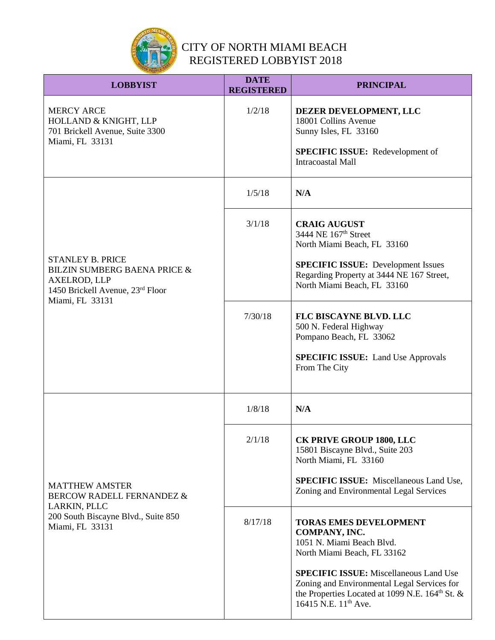

| <b>LOBBYIST</b>                                                                                                                           | <b>DATE</b><br><b>REGISTERED</b> | <b>PRINCIPAL</b>                                                                                                                                                                                                                                                                                    |
|-------------------------------------------------------------------------------------------------------------------------------------------|----------------------------------|-----------------------------------------------------------------------------------------------------------------------------------------------------------------------------------------------------------------------------------------------------------------------------------------------------|
| <b>MERCY ARCE</b><br>HOLLAND & KNIGHT, LLP<br>701 Brickell Avenue, Suite 3300<br>Miami, FL 33131                                          | 1/2/18                           | DEZER DEVELOPMENT, LLC<br>18001 Collins Avenue<br>Sunny Isles, FL 33160<br><b>SPECIFIC ISSUE:</b> Redevelopment of<br>Intracoastal Mall                                                                                                                                                             |
|                                                                                                                                           | 1/5/18                           | N/A                                                                                                                                                                                                                                                                                                 |
| <b>STANLEY B. PRICE</b><br><b>BILZIN SUMBERG BAENA PRICE &amp;</b><br>AXELROD, LLP<br>1450 Brickell Avenue, 23rd Floor<br>Miami, FL 33131 | 3/1/18                           | <b>CRAIG AUGUST</b><br>3444 NE 167 <sup>th</sup> Street<br>North Miami Beach, FL 33160<br><b>SPECIFIC ISSUE:</b> Development Issues<br>Regarding Property at 3444 NE 167 Street,<br>North Miami Beach, FL 33160                                                                                     |
|                                                                                                                                           | 7/30/18                          | FLC BISCAYNE BLVD. LLC<br>500 N. Federal Highway<br>Pompano Beach, FL 33062<br><b>SPECIFIC ISSUE:</b> Land Use Approvals<br>From The City                                                                                                                                                           |
|                                                                                                                                           | 1/8/18                           | N/A                                                                                                                                                                                                                                                                                                 |
| <b>MATTHEW AMSTER</b><br>BERCOW RADELL FERNANDEZ &<br>LARKIN, PLLC<br>200 South Biscayne Blvd., Suite 850<br>Miami, FL 33131              | 2/1/18                           | <b>CK PRIVE GROUP 1800, LLC</b><br>15801 Biscayne Blvd., Suite 203<br>North Miami, FL 33160<br><b>SPECIFIC ISSUE:</b> Miscellaneous Land Use,<br>Zoning and Environmental Legal Services                                                                                                            |
|                                                                                                                                           | 8/17/18                          | <b>TORAS EMES DEVELOPMENT</b><br>COMPANY, INC.<br>1051 N. Miami Beach Blvd.<br>North Miami Beach, FL 33162<br><b>SPECIFIC ISSUE:</b> Miscellaneous Land Use<br>Zoning and Environmental Legal Services for<br>the Properties Located at 1099 N.E. $164th$ St. &<br>16415 N.E. 11 <sup>th</sup> Ave. |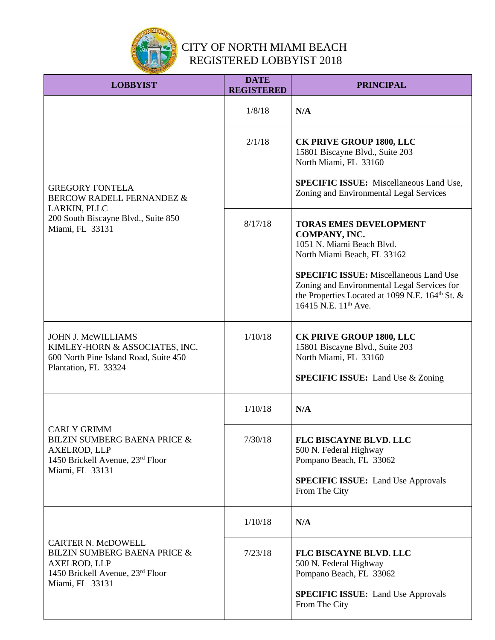

| <b>LOBBYIST</b>                                                                                                                      | <b>DATE</b><br><b>REGISTERED</b> | <b>PRINCIPAL</b>                                                                                                                                                                                |
|--------------------------------------------------------------------------------------------------------------------------------------|----------------------------------|-------------------------------------------------------------------------------------------------------------------------------------------------------------------------------------------------|
|                                                                                                                                      | 1/8/18                           | N/A                                                                                                                                                                                             |
|                                                                                                                                      | 2/1/18                           | <b>CK PRIVE GROUP 1800, LLC</b><br>15801 Biscayne Blvd., Suite 203<br>North Miami, FL 33160                                                                                                     |
| <b>GREGORY FONTELA</b><br><b>BERCOW RADELL FERNANDEZ &amp;</b>                                                                       |                                  | <b>SPECIFIC ISSUE:</b> Miscellaneous Land Use,<br>Zoning and Environmental Legal Services                                                                                                       |
| LARKIN, PLLC<br>200 South Biscayne Blvd., Suite 850<br>Miami, FL 33131                                                               | 8/17/18                          | <b>TORAS EMES DEVELOPMENT</b><br>COMPANY, INC.<br>1051 N. Miami Beach Blvd.<br>North Miami Beach, FL 33162                                                                                      |
|                                                                                                                                      |                                  | <b>SPECIFIC ISSUE:</b> Miscellaneous Land Use<br>Zoning and Environmental Legal Services for<br>the Properties Located at 1099 N.E. 164 <sup>th</sup> St. &<br>16415 N.E. 11 <sup>th</sup> Ave. |
| <b>JOHN J. McWILLIAMS</b><br>KIMLEY-HORN & ASSOCIATES, INC.<br>600 North Pine Island Road, Suite 450<br>Plantation, FL 33324         | 1/10/18                          | CK PRIVE GROUP 1800, LLC<br>15801 Biscayne Blvd., Suite 203<br>North Miami, FL 33160<br><b>SPECIFIC ISSUE:</b> Land Use & Zoning                                                                |
|                                                                                                                                      |                                  |                                                                                                                                                                                                 |
|                                                                                                                                      | 1/10/18                          | N/A                                                                                                                                                                                             |
| <b>CARLY GRIMM</b><br><b>BILZIN SUMBERG BAENA PRICE &amp;</b><br>AXELROD, LLP<br>1450 Brickell Avenue, 23rd Floor<br>Miami, FL 33131 | 7/30/18                          | FLC BISCAYNE BLVD. LLC<br>500 N. Federal Highway<br>Pompano Beach, FL 33062                                                                                                                     |
|                                                                                                                                      |                                  | <b>SPECIFIC ISSUE:</b> Land Use Approvals<br>From The City                                                                                                                                      |
| <b>CARTER N. McDOWELL</b><br><b>BILZIN SUMBERG BAENA PRICE &amp;</b><br>AXELROD, LLP<br>1450 Brickell Avenue, 23rd Floor             | 1/10/18                          | N/A                                                                                                                                                                                             |
|                                                                                                                                      | 7/23/18                          | FLC BISCAYNE BLVD. LLC<br>500 N. Federal Highway<br>Pompano Beach, FL 33062                                                                                                                     |
| Miami, FL 33131                                                                                                                      |                                  | <b>SPECIFIC ISSUE:</b> Land Use Approvals<br>From The City                                                                                                                                      |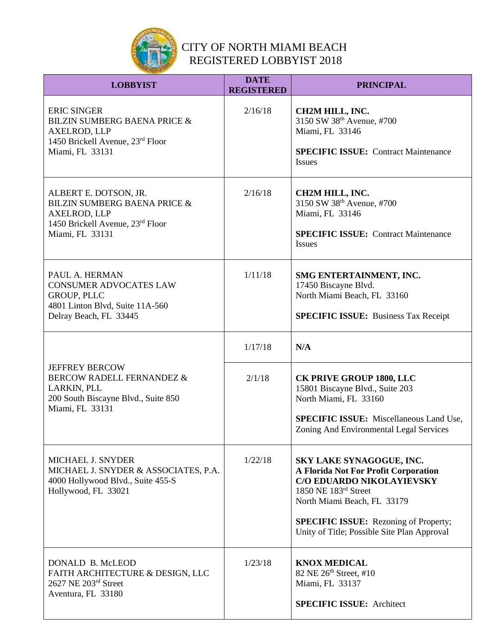

| <b>LOBBYIST</b>                                                                                                                             | <b>DATE</b><br><b>REGISTERED</b> | <b>PRINCIPAL</b>                                                                                                                                                                                                                                    |
|---------------------------------------------------------------------------------------------------------------------------------------------|----------------------------------|-----------------------------------------------------------------------------------------------------------------------------------------------------------------------------------------------------------------------------------------------------|
| <b>ERIC SINGER</b><br><b>BILZIN SUMBERG BAENA PRICE &amp;</b><br><b>AXELROD, LLP</b><br>1450 Brickell Avenue, 23rd Floor<br>Miami, FL 33131 | 2/16/18                          | CH2M HILL, INC.<br>3150 SW 38th Avenue, #700<br>Miami, FL 33146<br><b>SPECIFIC ISSUE:</b> Contract Maintenance<br><b>Issues</b>                                                                                                                     |
| ALBERT E. DOTSON, JR.<br>BILZIN SUMBERG BAENA PRICE &<br>AXELROD, LLP<br>1450 Brickell Avenue, 23rd Floor<br>Miami, FL 33131                | 2/16/18                          | CH2M HILL, INC.<br>3150 SW 38th Avenue, #700<br>Miami, FL 33146<br><b>SPECIFIC ISSUE: Contract Maintenance</b><br><b>Issues</b>                                                                                                                     |
| PAUL A. HERMAN<br><b>CONSUMER ADVOCATES LAW</b><br>GROUP, PLLC<br>4801 Linton Blvd, Suite 11A-560<br>Delray Beach, FL 33445                 | 1/11/18                          | SMG ENTERTAINMENT, INC.<br>17450 Biscayne Blvd.<br>North Miami Beach, FL 33160<br><b>SPECIFIC ISSUE:</b> Business Tax Receipt                                                                                                                       |
|                                                                                                                                             | 1/17/18                          | N/A                                                                                                                                                                                                                                                 |
| <b>JEFFREY BERCOW</b><br>BERCOW RADELL FERNANDEZ &<br>LARKIN, PLL<br>200 South Biscayne Blvd., Suite 850<br>Miami, FL 33131                 | 2/1/18                           | <b>CK PRIVE GROUP 1800, LLC</b><br>15801 Biscayne Blvd., Suite 203<br>North Miami, FL 33160<br><b>SPECIFIC ISSUE:</b> Miscellaneous Land Use,<br>Zoning And Environmental Legal Services                                                            |
| <b>MICHAEL J. SNYDER</b><br>MICHAEL J. SNYDER & ASSOCIATES, P.A.<br>4000 Hollywood Blvd., Suite 455-S<br>Hollywood, FL 33021                | 1/22/18                          | SKY LAKE SYNAGOGUE, INC.<br>A Florida Not For Profit Corporation<br>C/O EDUARDO NIKOLAYIEVSKY<br>1850 NE 183rd Street<br>North Miami Beach, FL 33179<br><b>SPECIFIC ISSUE:</b> Rezoning of Property;<br>Unity of Title; Possible Site Plan Approval |
| DONALD B. McLEOD<br>FAITH ARCHITECTURE & DESIGN, LLC<br>2627 NE 203rd Street<br>Aventura, FL 33180                                          | 1/23/18                          | <b>KNOX MEDICAL</b><br>82 NE 26th Street, #10<br>Miami, FL 33137<br><b>SPECIFIC ISSUE: Architect</b>                                                                                                                                                |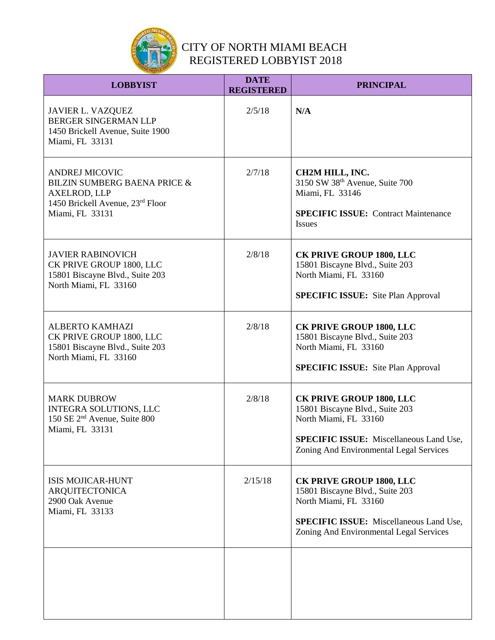

| <b>LOBBYIST</b>                                                                                                                     | <b>DATE</b><br><b>REGISTERED</b> | <b>PRINCIPAL</b>                                                                                                                                                                         |
|-------------------------------------------------------------------------------------------------------------------------------------|----------------------------------|------------------------------------------------------------------------------------------------------------------------------------------------------------------------------------------|
| <b>JAVIER L. VAZQUEZ</b><br>BERGER SINGERMAN LLP<br>1450 Brickell Avenue, Suite 1900<br>Miami, FL 33131                             | 2/5/18                           | N/A                                                                                                                                                                                      |
| <b>ANDREJ MICOVIC</b><br>BILZIN SUMBERG BAENA PRICE &<br><b>AXELROD, LLP</b><br>1450 Brickell Avenue, 23rd Floor<br>Miami, FL 33131 | 2/7/18                           | CH2M HILL, INC.<br>3150 SW 38 <sup>th</sup> Avenue, Suite 700<br>Miami, FL 33146<br><b>SPECIFIC ISSUE:</b> Contract Maintenance<br><b>Issues</b>                                         |
| <b>JAVIER RABINOVICH</b><br>CK PRIVE GROUP 1800, LLC<br>15801 Biscayne Blvd., Suite 203<br>North Miami, FL 33160                    | 2/8/18                           | <b>CK PRIVE GROUP 1800, LLC</b><br>15801 Biscayne Blvd., Suite 203<br>North Miami, FL 33160<br><b>SPECIFIC ISSUE:</b> Site Plan Approval                                                 |
| <b>ALBERTO KAMHAZI</b><br>CK PRIVE GROUP 1800, LLC<br>15801 Biscayne Blvd., Suite 203<br>North Miami, FL 33160                      | 2/8/18                           | <b>CK PRIVE GROUP 1800, LLC</b><br>15801 Biscayne Blvd., Suite 203<br>North Miami, FL 33160<br><b>SPECIFIC ISSUE:</b> Site Plan Approval                                                 |
| <b>MARK DUBROW</b><br>INTEGRA SOLUTIONS, LLC<br>150 SE 2 <sup>nd</sup> Avenue, Suite 800<br>Miami, FL 33131                         | 2/8/18                           | <b>CK PRIVE GROUP 1800, LLC</b><br>15801 Biscayne Blvd., Suite 203<br>North Miami, FL 33160<br><b>SPECIFIC ISSUE:</b> Miscellaneous Land Use,<br>Zoning And Environmental Legal Services |
| <b>ISIS MOJICAR-HUNT</b><br><b>ARQUITECTONICA</b><br>2900 Oak Avenue<br>Miami, FL 33133                                             | 2/15/18                          | <b>CK PRIVE GROUP 1800, LLC</b><br>15801 Biscayne Blvd., Suite 203<br>North Miami, FL 33160<br><b>SPECIFIC ISSUE:</b> Miscellaneous Land Use,<br>Zoning And Environmental Legal Services |
|                                                                                                                                     |                                  |                                                                                                                                                                                          |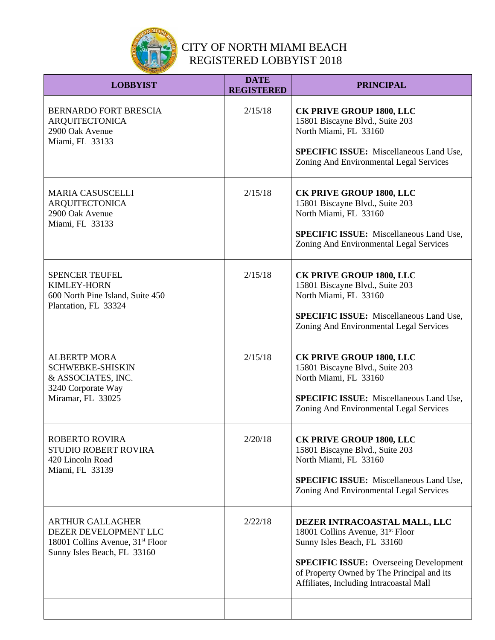

| <b>LOBBYIST</b>                                                                                                                 | <b>DATE</b><br><b>REGISTERED</b> | <b>PRINCIPAL</b>                                                                                                                                                                                                                                      |
|---------------------------------------------------------------------------------------------------------------------------------|----------------------------------|-------------------------------------------------------------------------------------------------------------------------------------------------------------------------------------------------------------------------------------------------------|
| <b>BERNARDO FORT BRESCIA</b><br><b>ARQUITECTONICA</b><br>2900 Oak Avenue<br>Miami, FL 33133                                     | 2/15/18                          | <b>CK PRIVE GROUP 1800, LLC</b><br>15801 Biscayne Blvd., Suite 203<br>North Miami, FL 33160<br><b>SPECIFIC ISSUE:</b> Miscellaneous Land Use,<br>Zoning And Environmental Legal Services                                                              |
| <b>MARIA CASUSCELLI</b><br><b>ARQUITECTONICA</b><br>2900 Oak Avenue<br>Miami, FL 33133                                          | 2/15/18                          | <b>CK PRIVE GROUP 1800, LLC</b><br>15801 Biscayne Blvd., Suite 203<br>North Miami, FL 33160<br><b>SPECIFIC ISSUE:</b> Miscellaneous Land Use,<br>Zoning And Environmental Legal Services                                                              |
| <b>SPENCER TEUFEL</b><br><b>KIMLEY-HORN</b><br>600 North Pine Island, Suite 450<br>Plantation, FL 33324                         | 2/15/18                          | <b>CK PRIVE GROUP 1800, LLC</b><br>15801 Biscayne Blvd., Suite 203<br>North Miami, FL 33160<br><b>SPECIFIC ISSUE:</b> Miscellaneous Land Use,<br>Zoning And Environmental Legal Services                                                              |
| <b>ALBERTP MORA</b><br><b>SCHWEBKE-SHISKIN</b><br>& ASSOCIATES, INC.<br>3240 Corporate Way<br>Miramar, FL 33025                 | 2/15/18                          | <b>CK PRIVE GROUP 1800, LLC</b><br>15801 Biscayne Blvd., Suite 203<br>North Miami, FL 33160<br><b>SPECIFIC ISSUE:</b> Miscellaneous Land Use,<br>Zoning And Environmental Legal Services                                                              |
| <b>ROBERTO ROVIRA</b><br>STUDIO ROBERT ROVIRA<br>420 Lincoln Road<br>Miami, FL 33139                                            | 2/20/18                          | <b>CK PRIVE GROUP 1800, LLC</b><br>15801 Biscayne Blvd., Suite 203<br>North Miami, FL 33160<br><b>SPECIFIC ISSUE:</b> Miscellaneous Land Use,<br>Zoning And Environmental Legal Services                                                              |
| <b>ARTHUR GALLAGHER</b><br>DEZER DEVELOPMENT LLC<br>18001 Collins Avenue, 31 <sup>st</sup> Floor<br>Sunny Isles Beach, FL 33160 | 2/22/18                          | DEZER INTRACOASTAL MALL, LLC<br>18001 Collins Avenue, 31 <sup>st</sup> Floor<br>Sunny Isles Beach, FL 33160<br><b>SPECIFIC ISSUE:</b> Overseeing Development<br>of Property Owned by The Principal and its<br>Affiliates, Including Intracoastal Mall |
|                                                                                                                                 |                                  |                                                                                                                                                                                                                                                       |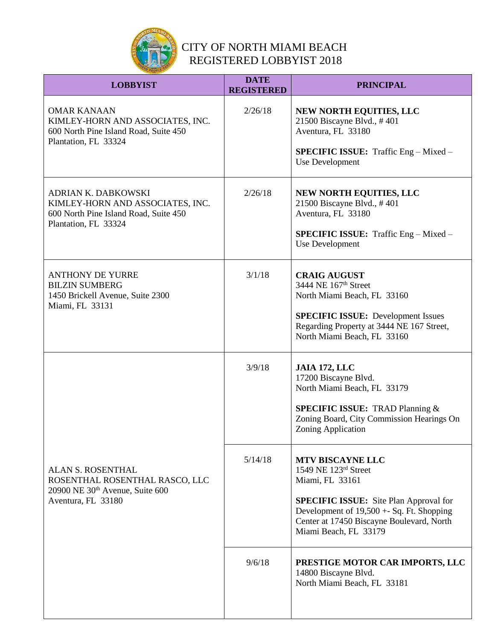

| <b>LOBBYIST</b>                                                                                                                 | <b>DATE</b><br><b>REGISTERED</b> | <b>PRINCIPAL</b>                                                                                                                                                                                                                         |
|---------------------------------------------------------------------------------------------------------------------------------|----------------------------------|------------------------------------------------------------------------------------------------------------------------------------------------------------------------------------------------------------------------------------------|
| <b>OMAR KANAAN</b><br>KIMLEY-HORN AND ASSOCIATES, INC.<br>600 North Pine Island Road, Suite 450<br>Plantation, FL 33324         | 2/26/18                          | NEW NORTH EQUITIES, LLC<br>21500 Biscayne Blvd., #401<br>Aventura, FL 33180<br><b>SPECIFIC ISSUE:</b> Traffic Eng - Mixed -<br>Use Development                                                                                           |
| <b>ADRIAN K. DABKOWSKI</b><br>KIMLEY-HORN AND ASSOCIATES, INC.<br>600 North Pine Island Road, Suite 450<br>Plantation, FL 33324 | 2/26/18                          | NEW NORTH EQUITIES, LLC<br>21500 Biscayne Blvd., #401<br>Aventura, FL 33180<br><b>SPECIFIC ISSUE:</b> Traffic Eng - Mixed -<br><b>Use Development</b>                                                                                    |
| <b>ANTHONY DE YURRE</b><br><b>BILZIN SUMBERG</b><br>1450 Brickell Avenue, Suite 2300<br>Miami, FL 33131                         | 3/1/18                           | <b>CRAIG AUGUST</b><br>3444 NE 167 <sup>th</sup> Street<br>North Miami Beach, FL 33160<br><b>SPECIFIC ISSUE:</b> Development Issues<br>Regarding Property at 3444 NE 167 Street,<br>North Miami Beach, FL 33160                          |
|                                                                                                                                 | 3/9/18                           | <b>JAIA 172, LLC</b><br>17200 Biscayne Blvd.<br>North Miami Beach, FL 33179<br><b>SPECIFIC ISSUE: TRAD Planning &amp;</b><br>Zoning Board, City Commission Hearings On<br>Zoning Application                                             |
| <b>ALAN S. ROSENTHAL</b><br>ROSENTHAL ROSENTHAL RASCO, LLC<br>20900 NE 30 <sup>th</sup> Avenue, Suite 600<br>Aventura, FL 33180 | 5/14/18                          | <b>MTV BISCAYNE LLC</b><br>1549 NE 123rd Street<br>Miami, FL 33161<br><b>SPECIFIC ISSUE:</b> Site Plan Approval for<br>Development of $19,500 + Sq$ . Ft. Shopping<br>Center at 17450 Biscayne Boulevard, North<br>Miami Beach, FL 33179 |
|                                                                                                                                 | 9/6/18                           | PRESTIGE MOTOR CAR IMPORTS, LLC<br>14800 Biscayne Blvd.<br>North Miami Beach, FL 33181                                                                                                                                                   |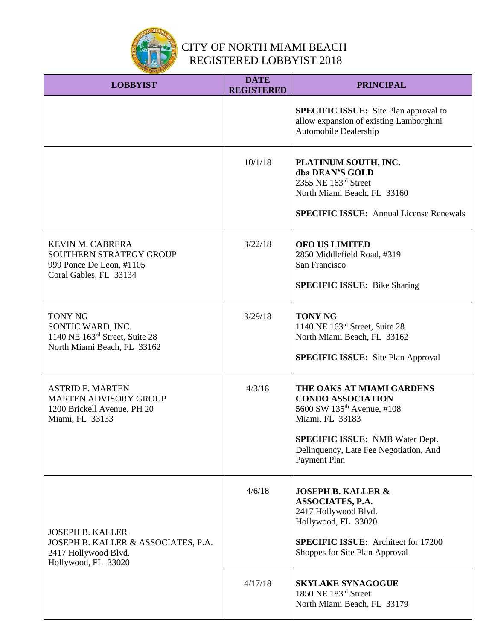

| <b>LOBBYIST</b>                                                                                               | <b>DATE</b><br><b>REGISTERED</b> | <b>PRINCIPAL</b>                                                                                                                                                                                                       |
|---------------------------------------------------------------------------------------------------------------|----------------------------------|------------------------------------------------------------------------------------------------------------------------------------------------------------------------------------------------------------------------|
|                                                                                                               |                                  | <b>SPECIFIC ISSUE:</b> Site Plan approval to<br>allow expansion of existing Lamborghini<br>Automobile Dealership                                                                                                       |
|                                                                                                               | 10/1/18                          | PLATINUM SOUTH, INC.<br>dba DEAN'S GOLD<br>2355 NE 163rd Street<br>North Miami Beach, FL 33160<br><b>SPECIFIC ISSUE:</b> Annual License Renewals                                                                       |
| <b>KEVIN M. CABRERA</b><br>SOUTHERN STRATEGY GROUP<br>999 Ponce De Leon, #1105<br>Coral Gables, FL 33134      | 3/22/18                          | <b>OFO US LIMITED</b><br>2850 Middlefield Road, #319<br>San Francisco<br><b>SPECIFIC ISSUE:</b> Bike Sharing                                                                                                           |
| <b>TONY NG</b><br>SONTIC WARD, INC.<br>1140 NE 163rd Street, Suite 28<br>North Miami Beach, FL 33162          | 3/29/18                          | <b>TONY NG</b><br>1140 NE 163rd Street, Suite 28<br>North Miami Beach, FL 33162<br><b>SPECIFIC ISSUE:</b> Site Plan Approval                                                                                           |
| <b>ASTRID F. MARTEN</b><br><b>MARTEN ADVISORY GROUP</b><br>1200 Brickell Avenue, PH 20<br>Miami, FL 33133     | 4/3/18                           | THE OAKS AT MIAMI GARDENS<br><b>CONDO ASSOCIATION</b><br>5600 SW 135 <sup>th</sup> Avenue, #108<br>Miami, FL 33183<br><b>SPECIFIC ISSUE:</b> NMB Water Dept.<br>Delinquency, Late Fee Negotiation, And<br>Payment Plan |
| <b>JOSEPH B. KALLER</b><br>JOSEPH B. KALLER & ASSOCIATES, P.A.<br>2417 Hollywood Blvd.<br>Hollywood, FL 33020 | 4/6/18                           | <b>JOSEPH B. KALLER &amp;</b><br>ASSOCIATES, P.A.<br>2417 Hollywood Blvd.<br>Hollywood, FL 33020<br><b>SPECIFIC ISSUE:</b> Architect for 17200<br>Shoppes for Site Plan Approval                                       |
|                                                                                                               | 4/17/18                          | <b>SKYLAKE SYNAGOGUE</b><br>1850 NE 183rd Street<br>North Miami Beach, FL 33179                                                                                                                                        |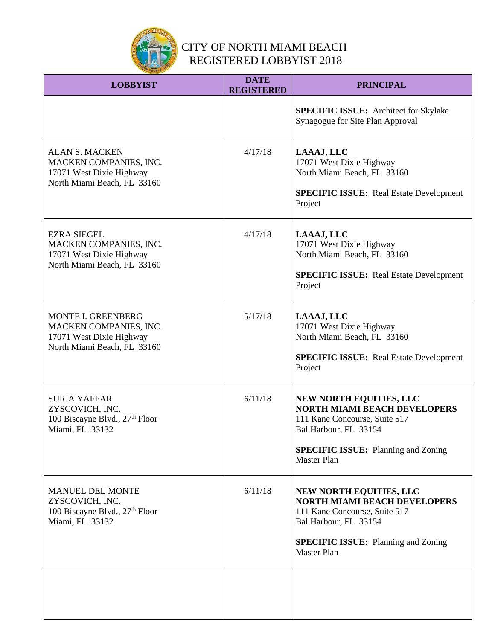

| <b>LOBBYIST</b>                                                                                            | <b>DATE</b><br><b>REGISTERED</b> | <b>PRINCIPAL</b>                                                                                                                                                                             |
|------------------------------------------------------------------------------------------------------------|----------------------------------|----------------------------------------------------------------------------------------------------------------------------------------------------------------------------------------------|
|                                                                                                            |                                  | <b>SPECIFIC ISSUE:</b> Architect for Skylake<br>Synagogue for Site Plan Approval                                                                                                             |
| <b>ALAN S. MACKEN</b><br>MACKEN COMPANIES, INC.<br>17071 West Dixie Highway<br>North Miami Beach, FL 33160 | 4/17/18                          | LAAAJ, LLC<br>17071 West Dixie Highway<br>North Miami Beach, FL 33160<br><b>SPECIFIC ISSUE:</b> Real Estate Development<br>Project                                                           |
| <b>EZRA SIEGEL</b><br>MACKEN COMPANIES, INC.<br>17071 West Dixie Highway<br>North Miami Beach, FL 33160    | 4/17/18                          | LAAAJ, LLC<br>17071 West Dixie Highway<br>North Miami Beach, FL 33160<br><b>SPECIFIC ISSUE:</b> Real Estate Development<br>Project                                                           |
| MONTE I. GREENBERG<br>MACKEN COMPANIES, INC.<br>17071 West Dixie Highway<br>North Miami Beach, FL 33160    | 5/17/18                          | LAAAJ, LLC<br>17071 West Dixie Highway<br>North Miami Beach, FL 33160<br><b>SPECIFIC ISSUE:</b> Real Estate Development<br>Project                                                           |
| <b>SURIA YAFFAR</b><br>ZYSCOVICH, INC.<br>100 Biscayne Blvd., 27 <sup>th</sup> Floor<br>Miami, FL 33132    | 6/11/18                          | NEW NORTH EQUITIES, LLC<br><b>NORTH MIAMI BEACH DEVELOPERS</b><br>111 Kane Concourse, Suite 517<br>Bal Harbour, FL 33154<br><b>SPECIFIC ISSUE:</b> Planning and Zoning<br><b>Master Plan</b> |
| <b>MANUEL DEL MONTE</b><br>ZYSCOVICH, INC.<br>100 Biscayne Blvd., 27th Floor<br>Miami, FL 33132            | 6/11/18                          | NEW NORTH EQUITIES, LLC<br><b>NORTH MIAMI BEACH DEVELOPERS</b><br>111 Kane Concourse, Suite 517<br>Bal Harbour, FL 33154<br><b>SPECIFIC ISSUE:</b> Planning and Zoning<br><b>Master Plan</b> |
|                                                                                                            |                                  |                                                                                                                                                                                              |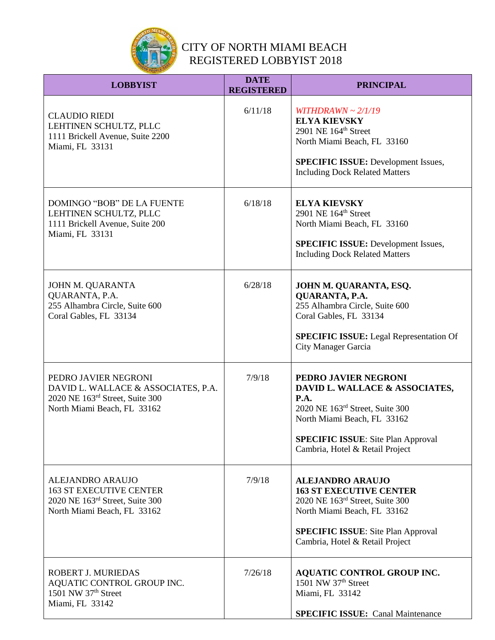

| <b>LOBBYIST</b>                                                                                                               | <b>DATE</b><br><b>REGISTERED</b> | <b>PRINCIPAL</b>                                                                                                                                                                                                        |
|-------------------------------------------------------------------------------------------------------------------------------|----------------------------------|-------------------------------------------------------------------------------------------------------------------------------------------------------------------------------------------------------------------------|
| <b>CLAUDIO RIEDI</b><br>LEHTINEN SCHULTZ, PLLC<br>1111 Brickell Avenue, Suite 2200<br>Miami, FL 33131                         | 6/11/18                          | WITHDRAWN ~ $2/1/19$<br><b>ELYA KIEVSKY</b><br>2901 NE 164 <sup>th</sup> Street<br>North Miami Beach, FL 33160<br><b>SPECIFIC ISSUE:</b> Development Issues,<br><b>Including Dock Related Matters</b>                   |
| DOMINGO "BOB" DE LA FUENTE<br>LEHTINEN SCHULTZ, PLLC<br>1111 Brickell Avenue, Suite 200<br>Miami, FL 33131                    | 6/18/18                          | <b>ELYA KIEVSKY</b><br>2901 NE 164 <sup>th</sup> Street<br>North Miami Beach, FL 33160<br><b>SPECIFIC ISSUE:</b> Development Issues,<br><b>Including Dock Related Matters</b>                                           |
| JOHN M. QUARANTA<br>QUARANTA, P.A.<br>255 Alhambra Circle, Suite 600<br>Coral Gables, FL 33134                                | 6/28/18                          | JOHN M. QUARANTA, ESQ.<br>QUARANTA, P.A.<br>255 Alhambra Circle, Suite 600<br>Coral Gables, FL 33134<br><b>SPECIFIC ISSUE:</b> Legal Representation Of<br>City Manager Garcia                                           |
| PEDRO JAVIER NEGRONI<br>DAVID L. WALLACE & ASSOCIATES, P.A.<br>2020 NE 163rd Street, Suite 300<br>North Miami Beach, FL 33162 | 7/9/18                           | PEDRO JAVIER NEGRONI<br>DAVID L. WALLACE & ASSOCIATES,<br><b>P.A.</b><br>2020 NE 163rd Street, Suite 300<br>North Miami Beach, FL 33162<br><b>SPECIFIC ISSUE:</b> Site Plan Approval<br>Cambria, Hotel & Retail Project |
| <b>ALEJANDRO ARAUJO</b><br><b>163 ST EXECUTIVE CENTER</b><br>2020 NE 163rd Street, Suite 300<br>North Miami Beach, FL 33162   | 7/9/18                           | <b>ALEJANDRO ARAUJO</b><br><b>163 ST EXECUTIVE CENTER</b><br>2020 NE 163rd Street, Suite 300<br>North Miami Beach, FL 33162<br><b>SPECIFIC ISSUE:</b> Site Plan Approval<br>Cambria, Hotel & Retail Project             |
| ROBERT J. MURIEDAS<br>AQUATIC CONTROL GROUP INC.<br>1501 NW 37 <sup>th</sup> Street<br>Miami, FL 33142                        | 7/26/18                          | <b>AQUATIC CONTROL GROUP INC.</b><br>1501 NW 37th Street<br>Miami, FL 33142<br><b>SPECIFIC ISSUE:</b> Canal Maintenance                                                                                                 |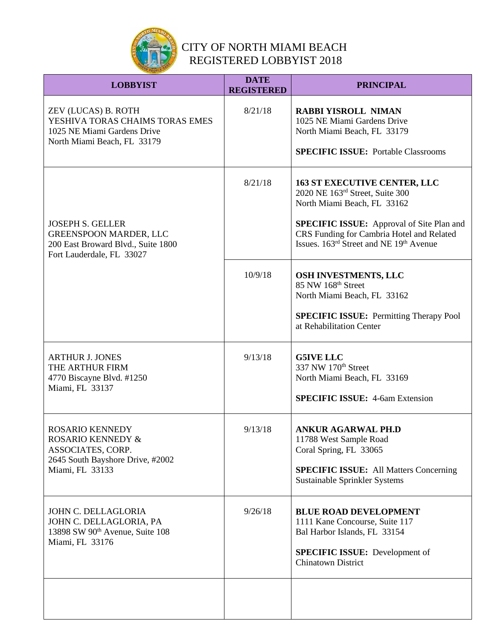

| <b>LOBBYIST</b>                                                                                                                    | <b>DATE</b><br><b>REGISTERED</b> | <b>PRINCIPAL</b>                                                                                                                                                                                                                                                          |
|------------------------------------------------------------------------------------------------------------------------------------|----------------------------------|---------------------------------------------------------------------------------------------------------------------------------------------------------------------------------------------------------------------------------------------------------------------------|
| ZEV (LUCAS) B. ROTH<br>YESHIVA TORAS CHAIMS TORAS EMES<br>1025 NE Miami Gardens Drive<br>North Miami Beach, FL 33179               | 8/21/18                          | <b>RABBI YISROLL NIMAN</b><br>1025 NE Miami Gardens Drive<br>North Miami Beach, FL 33179<br><b>SPECIFIC ISSUE: Portable Classrooms</b>                                                                                                                                    |
| <b>JOSEPH S. GELLER</b><br><b>GREENSPOON MARDER, LLC</b><br>200 East Broward Blvd., Suite 1800<br>Fort Lauderdale, FL 33027        | 8/21/18                          | <b>163 ST EXECUTIVE CENTER, LLC</b><br>2020 NE 163rd Street, Suite 300<br>North Miami Beach, FL 33162<br><b>SPECIFIC ISSUE:</b> Approval of Site Plan and<br>CRS Funding for Cambria Hotel and Related<br>Issues. 163 <sup>rd</sup> Street and NE 19 <sup>th</sup> Avenue |
|                                                                                                                                    | 10/9/18                          | OSH INVESTMENTS, LLC<br>85 NW 168 <sup>th</sup> Street<br>North Miami Beach, FL 33162<br><b>SPECIFIC ISSUE:</b> Permitting Therapy Pool<br>at Rehabilitation Center                                                                                                       |
| <b>ARTHUR J. JONES</b><br>THE ARTHUR FIRM<br>4770 Biscayne Blvd. #1250<br>Miami, FL 33137                                          | 9/13/18                          | <b>G5IVE LLC</b><br>337 NW 170 <sup>th</sup> Street<br>North Miami Beach, FL 33169<br><b>SPECIFIC ISSUE: 4-6am Extension</b>                                                                                                                                              |
| <b>ROSARIO KENNEDY</b><br><b>ROSARIO KENNEDY &amp;</b><br>ASSOCIATES, CORP.<br>2645 South Bayshore Drive, #2002<br>Miami, FL 33133 | 9/13/18                          | <b>ANKUR AGARWAL PH.D</b><br>11788 West Sample Road<br>Coral Spring, FL 33065<br><b>SPECIFIC ISSUE:</b> All Matters Concerning<br>Sustainable Sprinkler Systems                                                                                                           |
| JOHN C. DELLAGLORIA<br>JOHN C. DELLAGLORIA, PA<br>13898 SW 90 <sup>th</sup> Avenue, Suite 108<br>Miami, FL 33176                   | 9/26/18                          | <b>BLUE ROAD DEVELOPMENT</b><br>1111 Kane Concourse, Suite 117<br>Bal Harbor Islands, FL 33154<br><b>SPECIFIC ISSUE:</b> Development of<br><b>Chinatown District</b>                                                                                                      |
|                                                                                                                                    |                                  |                                                                                                                                                                                                                                                                           |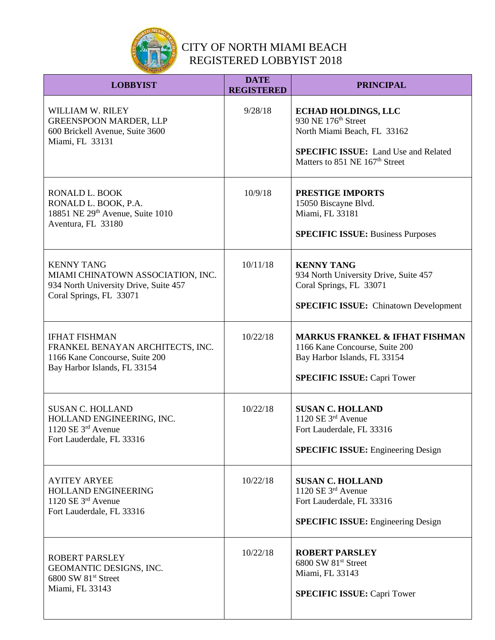

| <b>LOBBYIST</b>                                                                                                            | <b>DATE</b><br><b>REGISTERED</b> | <b>PRINCIPAL</b>                                                                                                                                                                          |
|----------------------------------------------------------------------------------------------------------------------------|----------------------------------|-------------------------------------------------------------------------------------------------------------------------------------------------------------------------------------------|
| <b>WILLIAM W. RILEY</b><br><b>GREENSPOON MARDER, LLP</b><br>600 Brickell Avenue, Suite 3600<br>Miami, FL 33131             | 9/28/18                          | <b>ECHAD HOLDINGS, LLC</b><br>930 NE 176 <sup>th</sup> Street<br>North Miami Beach, FL 33162<br><b>SPECIFIC ISSUE:</b> Land Use and Related<br>Matters to 851 NE 167 <sup>th</sup> Street |
| RONALD L. BOOK<br>RONALD L. BOOK, P.A.<br>18851 NE 29th Avenue, Suite 1010<br>Aventura, FL 33180                           | 10/9/18                          | <b>PRESTIGE IMPORTS</b><br>15050 Biscayne Blvd.<br>Miami, FL 33181<br><b>SPECIFIC ISSUE: Business Purposes</b>                                                                            |
| <b>KENNY TANG</b><br>MIAMI CHINATOWN ASSOCIATION, INC.<br>934 North University Drive, Suite 457<br>Coral Springs, FL 33071 | 10/11/18                         | <b>KENNY TANG</b><br>934 North University Drive, Suite 457<br>Coral Springs, FL 33071<br><b>SPECIFIC ISSUE:</b> Chinatown Development                                                     |
| <b>IFHAT FISHMAN</b><br>FRANKEL BENAYAN ARCHITECTS, INC.<br>1166 Kane Concourse, Suite 200<br>Bay Harbor Islands, FL 33154 | 10/22/18                         | <b>MARKUS FRANKEL &amp; IFHAT FISHMAN</b><br>1166 Kane Concourse, Suite 200<br>Bay Harbor Islands, FL 33154<br><b>SPECIFIC ISSUE: Capri Tower</b>                                         |
| <b>SUSAN C. HOLLAND</b><br>HOLLAND ENGINEERING, INC.<br>1120 SE $3rd$ Avenue<br>Fort Lauderdale, FL 33316                  | 10/22/18                         | <b>SUSAN C. HOLLAND</b><br>1120 SE 3rd Avenue<br>Fort Lauderdale, FL 33316<br><b>SPECIFIC ISSUE:</b> Engineering Design                                                                   |
| <b>AYITEY ARYEE</b><br>HOLLAND ENGINEERING<br>1120 SE $3rd$ Avenue<br>Fort Lauderdale, FL 33316                            | 10/22/18                         | <b>SUSAN C. HOLLAND</b><br>1120 SE $3rd$ Avenue<br>Fort Lauderdale, FL 33316<br><b>SPECIFIC ISSUE:</b> Engineering Design                                                                 |
| ROBERT PARSLEY<br>GEOMANTIC DESIGNS, INC.<br>6800 SW 81 <sup>st</sup> Street<br>Miami, FL 33143                            | 10/22/18                         | <b>ROBERT PARSLEY</b><br>6800 SW 81 <sup>st</sup> Street<br>Miami, FL 33143<br><b>SPECIFIC ISSUE: Capri Tower</b>                                                                         |